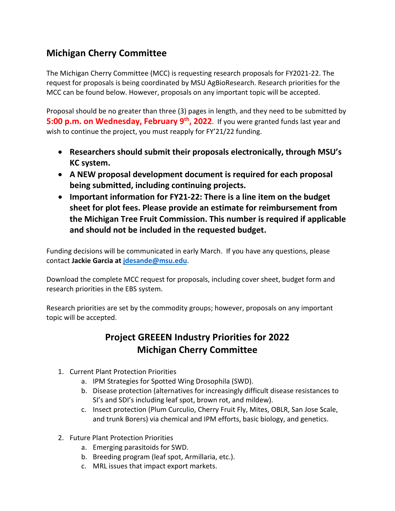## **Michigan Cherry Committee**

The Michigan Cherry Committee (MCC) is requesting research proposals for FY2021-22. The request for proposals is being coordinated by MSU AgBioResearch. Research priorities for the MCC can be found below. However, proposals on any important topic will be accepted.

Proposal should be no greater than three (3) pages in length, and they need to be submitted by **5:00 p.m. on Wednesday, February 9<sup>th</sup>, 2022**. If you were granted funds last year and wish to continue the project, you must reapply for FY'21/22 funding.

- **Researchers should submit their proposals electronically, through MSU's KC system.**
- **A NEW proposal development document is required for each proposal being submitted, including continuing projects.**
- **Important information for FY21-22: There is a line item on the budget sheet for plot fees. Please provide an estimate for reimbursement from the Michigan Tree Fruit Commission. This number is required if applicable and should not be included in the requested budget.**

Funding decisions will be communicated in early March. If you have any questions, please contact **Jackie Garcia at [jdesande@msu.edu](mailto:jdesande@msu.edu)**.

Download the complete MCC request for proposals, including cover sheet, budget form and research priorities in the EBS system.

Research priorities are set by the commodity groups; however, proposals on any important topic will be accepted.

## **Project GREEEN Industry Priorities for 2022 Michigan Cherry Committee**

- 1. Current Plant Protection Priorities
	- a. IPM Strategies for Spotted Wing Drosophila (SWD).
	- b. Disease protection (alternatives for increasingly difficult disease resistances to SI's and SDI's including leaf spot, brown rot, and mildew).
	- c. Insect protection (Plum Curculio, Cherry Fruit Fly, Mites, OBLR, San Jose Scale, and trunk Borers) via chemical and IPM efforts, basic biology, and genetics.
- 2. Future Plant Protection Priorities
	- a. Emerging parasitoids for SWD.
	- b. Breeding program (leaf spot, Armillaria, etc.).
	- c. MRL issues that impact export markets.